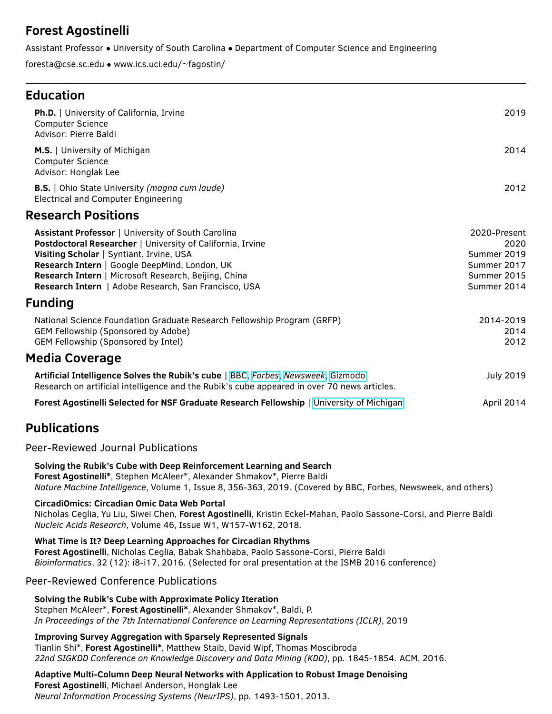# **Forest Agostinelli**

Assistant Professor • University of South Carolina • Department of Computer Science and Engineering

foresta@cse.sc.edu • www.ics.uci.edu/~fagostin/

## **Education**

| Ph.D.   University of California, Irvine<br><b>Computer Science</b><br>Advisor: Pierre Baldi                                                                                                                                                                                                                                  | 2019                                                                             |
|-------------------------------------------------------------------------------------------------------------------------------------------------------------------------------------------------------------------------------------------------------------------------------------------------------------------------------|----------------------------------------------------------------------------------|
| M.S.   University of Michigan<br><b>Computer Science</b><br>Advisor: Honglak Lee                                                                                                                                                                                                                                              | 2014                                                                             |
| B.S.   Ohio State University (magna cum laude)<br><b>Electrical and Computer Engineering</b>                                                                                                                                                                                                                                  | 2012                                                                             |
| <b>Research Positions</b>                                                                                                                                                                                                                                                                                                     |                                                                                  |
| Assistant Professor   University of South Carolina<br>Postdoctoral Researcher   University of California, Irvine<br>Visiting Scholar   Syntiant, Irvine, USA<br>Research Intern   Google DeepMind, London, UK<br>Research Intern   Microsoft Research, Beijing, China<br>Research Intern   Adobe Research, San Francisco, USA | 2020-Present<br>2020<br>Summer 2019<br>Summer 2017<br>Summer 2015<br>Summer 2014 |
| Funding                                                                                                                                                                                                                                                                                                                       |                                                                                  |
| National Science Foundation Graduate Research Fellowship Program (GRFP)<br>GEM Fellowship (Sponsored by Adobe)<br><b>GEM Fellowship (Sponsored by Intel)</b>                                                                                                                                                                  | 2014-2019<br>2014<br>2012                                                        |
| <b>Media Coverage</b>                                                                                                                                                                                                                                                                                                         |                                                                                  |
| Artificial Intelligence Solves the Rubik's cube   BBC, Forbes, Newsweek, Gizmodo<br>Research on artificial intelligence and the Rubik's cube appeared in over 70 news articles.                                                                                                                                               | <b>July 2019</b>                                                                 |
| Forest Agostinelli Selected for NSF Graduate Research Fellowship   University of Michigan                                                                                                                                                                                                                                     | April 2014                                                                       |
| <b>Publications</b>                                                                                                                                                                                                                                                                                                           |                                                                                  |
| Peer-Reviewed Journal Publications                                                                                                                                                                                                                                                                                            |                                                                                  |
| Solving the Rubik's Cube with Deep Reinforcement Learning and Search<br>Forest Agostinelli*, Stephen McAleer*, Alexander Shmakov*, Pierre Baldi<br>Nature Machine Intelligence, Volume 1, Issue 8, 356-363, 2019. (Covered by BBC, Forbes, Newsweek, and others)                                                              |                                                                                  |
| CircadiOmics: Circadian Omic Data Web Portal<br>Nicholas Ceglia, Yu Liu, Siwei Chen, Forest Agostinelli, Kristin Eckel-Mahan, Paolo Sassone-Corsi, and Pierre Baldi<br>Nucleic Acids Research, Volume 46, Issue W1, W157-W162, 2018.                                                                                          |                                                                                  |
| What Time is It? Deep Learning Approaches for Circadian Rhythms<br>Forest Agostinelli, Nicholas Ceglia, Babak Shahbaba, Paolo Sassone-Corsi, Pierre Baldi<br>Bioinformatics, 32 (12): i8-i17, 2016. (Selected for oral presentation at the ISMB 2016 conference)                                                              |                                                                                  |
| <b>Peer-Reviewed Conference Publications</b>                                                                                                                                                                                                                                                                                  |                                                                                  |
| Solving the Rubik's Cube with Approximate Policy Iteration<br>Stephen McAleer*, Forest Agostinelli*, Alexander Shmakov*, Baldi, P.<br>In Proceedings of the 7th International Conference on Learning Representations (ICLR), 2019                                                                                             |                                                                                  |
| <b>Improving Survey Aggregation with Sparsely Represented Signals</b><br>Tianlin Shi*, Forest Agostinelli*, Matthew Staib, David Wipf, Thomas Moscibroda<br>22nd SIGKDD Conference on Knowledge Discovery and Data Mining (KDD), pp. 1845-1854. ACM, 2016.                                                                    |                                                                                  |
| Adaptive Multi-Column Deep Neural Networks with Application to Robust Image Denoising<br>Forest Agostinelli, Michael Anderson, Honglak Lee<br>Neural Information Processing Systems (NeurIPS), pp. 1493-1501, 2013.                                                                                                           |                                                                                  |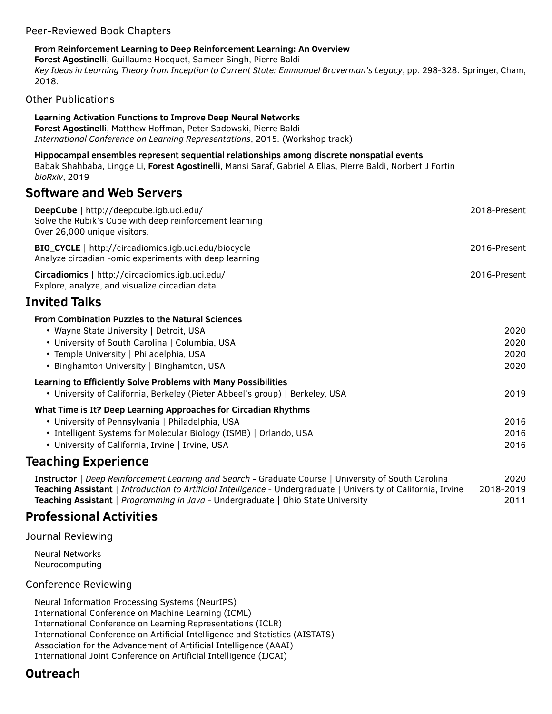### Peer-Reviewed Book Chapters

#### **From Reinforcement Learning to Deep Reinforcement Learning: An Overview**

**Forest Agostinelli**, Guillaume Hocquet, Sameer Singh, Pierre Baldi *Key Ideas in Learning Theory from Inception to Current State: Emmanuel Braverman's Legacy*, pp. 298-328. Springer, Cham, 2018.

Other Publications

| <b>Learning Activation Functions to Improve Deep Neural Networks</b><br>Forest Agostinelli, Matthew Hoffman, Peter Sadowski, Pierre Baldi<br>International Conference on Learning Representations, 2015. (Workshop track) |              |
|---------------------------------------------------------------------------------------------------------------------------------------------------------------------------------------------------------------------------|--------------|
| Hippocampal ensembles represent sequential relationships among discrete nonspatial events<br>Babak Shahbaba, Lingge Li, Forest Agostinelli, Mansi Saraf, Gabriel A Elias, Pierre Baldi, Norbert J Fortin<br>bioRxiv, 2019 |              |
| <b>Software and Web Servers</b>                                                                                                                                                                                           |              |
| DeepCube   http://deepcube.igb.uci.edu/<br>Solve the Rubik's Cube with deep reinforcement learning<br>Over 26,000 unique visitors.                                                                                        | 2018-Present |
| BIO_CYCLE   http://circadiomics.igb.uci.edu/biocycle<br>Analyze circadian -omic experiments with deep learning                                                                                                            | 2016-Present |
| Circadiomics   http://circadiomics.igb.uci.edu/<br>Explore, analyze, and visualize circadian data                                                                                                                         | 2016-Present |
| <b>Invited Talks</b>                                                                                                                                                                                                      |              |
| <b>From Combination Puzzles to the Natural Sciences</b>                                                                                                                                                                   |              |
| • Wayne State University   Detroit, USA                                                                                                                                                                                   | 2020         |
| • University of South Carolina   Columbia, USA                                                                                                                                                                            | 2020         |
| • Temple University   Philadelphia, USA                                                                                                                                                                                   | 2020         |
| • Binghamton University   Binghamton, USA                                                                                                                                                                                 | 2020         |
| Learning to Efficiently Solve Problems with Many Possibilities                                                                                                                                                            |              |
| • University of California, Berkeley (Pieter Abbeel's group)   Berkeley, USA                                                                                                                                              | 2019         |
| What Time is It? Deep Learning Approaches for Circadian Rhythms                                                                                                                                                           |              |
| • University of Pennsylvania   Philadelphia, USA                                                                                                                                                                          | 2016         |
| • Intelligent Systems for Molecular Biology (ISMB)   Orlando, USA                                                                                                                                                         | 2016         |
| • University of California, Irvine   Irvine, USA                                                                                                                                                                          | 2016         |
| Teaching Experience                                                                                                                                                                                                       |              |
| Inchreated L. Doop Doinforcement Lograpian and Coareb Croducto Course   University of Couth Caroline                                                                                                                      | າດາດ         |

**Instructor** | *Deep Reinforcement Learning and Search* - Graduate Course | University of South Carolina 2020 **Teaching Assistant** | *Introduction to Artificial Intelligence* - Undergraduate | University of California, Irvine 2018-2019 **Teaching Assistant** | *Programming in Java* - Undergraduate | Ohio State University 2011

### **Professional Activities**

Journal Reviewing

Neural Networks Neurocomputing

### Conference Reviewing

Neural Information Processing Systems (NeurIPS) International Conference on Machine Learning (ICML) International Conference on Learning Representations (ICLR) International Conference on Artificial Intelligence and Statistics (AISTATS) Association for the Advancement of Artificial Intelligence (AAAI) International Joint Conference on Artificial Intelligence (IJCAI)

## **Outreach**